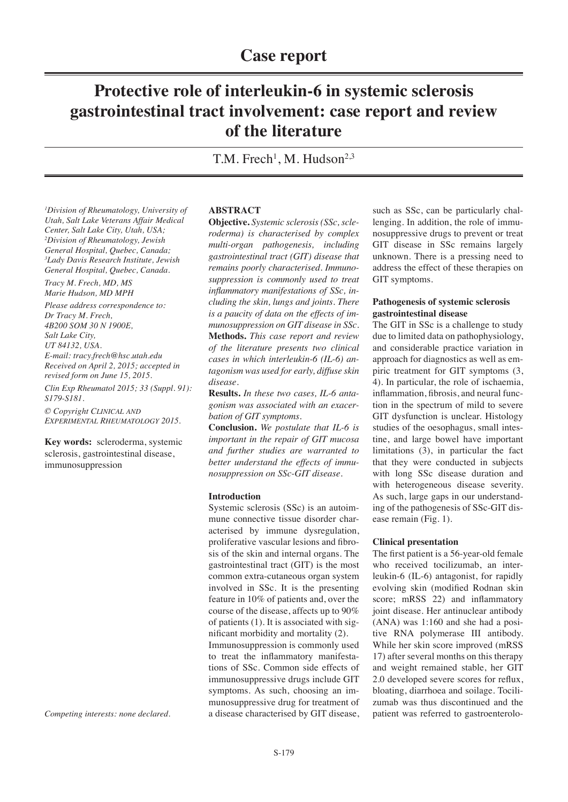# **Protective role of interleukin-6 in systemic sclerosis gastrointestinal tract involvement: case report and review of the literature**

T.M. Frech<sup>1</sup>, M. Hudson<sup>2,3</sup>

*1 Division of Rheumatology, University of Utah, Salt Lake Veterans Affair Medical Center, Salt Lake City, Utah, USA; 2 Division of Rheumatology, Jewish General Hospital, Quebec, Canada; 3 Lady Davis Research Institute, Jewish General Hospital, Quebec, Canada.* 

*Tracy M. Frech, MD, MS Marie Hudson, MD MPH*

*Please address correspondence to: Dr Tracy M. Frech, 4B200 SOM 30 N 1900E, Salt Lake City, UT 84132, USA. E-mail: tracy.frech@hsc.utah.edu Received on April 2, 2015; accepted in revised form on June 15, 2015. Clin Exp Rheumatol 2015; 33 (Suppl. 91): S179-S181.*

*© Copyright Clinical and Experimental Rheumatology 2015.*

**Key words:** scleroderma, systemic sclerosis, gastrointestinal disease, immunosuppression

*Competing interests: none declared.*

# **ABSTRACT**

**Objective.** *Systemic sclerosis (SSc, scleroderma) is characterised by complex multi-organ pathogenesis, including gastrointestinal tract (GIT) disease that remains poorly characterised. Immunosuppression is commonly used to treat inflammatory manifestations of SSc, including the skin, lungs and joints. There is a paucity of data on the effects of immunosuppression on GIT disease in SSc.*  **Methods.** *This case report and review of the literature presents two clinical cases in which interleukin-6 (IL-6) antagonism was used for early, diffuse skin disease.* 

**Results.** *In these two cases, IL-6 antagonism was associated with an exacerbation of GIT symptoms.* 

**Conclusion.** *We postulate that IL-6 is important in the repair of GIT mucosa and further studies are warranted to better understand the effects of immunosuppression on SSc-GIT disease.*

# **Introduction**

Systemic sclerosis (SSc) is an autoimmune connective tissue disorder characterised by immune dysregulation, proliferative vascular lesions and fibrosis of the skin and internal organs. The gastrointestinal tract (GIT) is the most common extra-cutaneous organ system involved in SSc. It is the presenting feature in 10% of patients and, over the course of the disease, affects up to 90% of patients (1). It is associated with significant morbidity and mortality (2). Immunosuppression is commonly used to treat the inflammatory manifestations of SSc. Common side effects of immunosuppressive drugs include GIT symptoms. As such, choosing an immunosuppressive drug for treatment of a disease characterised by GIT disease,

such as SSc, can be particularly challenging. In addition, the role of immunosuppressive drugs to prevent or treat GIT disease in SSc remains largely unknown. There is a pressing need to address the effect of these therapies on GIT symptoms.

# **Pathogenesis of systemic sclerosis gastrointestinal disease**

The GIT in SSc is a challenge to study due to limited data on pathophysiology, and considerable practice variation in approach for diagnostics as well as empiric treatment for GIT symptoms (3, 4). In particular, the role of ischaemia, inflammation, fibrosis, and neural function in the spectrum of mild to severe GIT dysfunction is unclear. Histology studies of the oesophagus, small intestine, and large bowel have important limitations (3), in particular the fact that they were conducted in subjects with long SSc disease duration and with heterogeneous disease severity. As such, large gaps in our understanding of the pathogenesis of SSc-GIT disease remain (Fig. 1).

# **Clinical presentation**

The first patient is a 56-year-old female who received tocilizumab, an interleukin-6 (IL-6) antagonist, for rapidly evolving skin (modified Rodnan skin score; mRSS 22) and inflammatory joint disease. Her antinuclear antibody (ANA) was 1:160 and she had a positive RNA polymerase III antibody. While her skin score improved (mRSS 17) after several months on this therapy and weight remained stable, her GIT 2.0 developed severe scores for reflux, bloating, diarrhoea and soilage. Tocilizumab was thus discontinued and the patient was referred to gastroenterolo-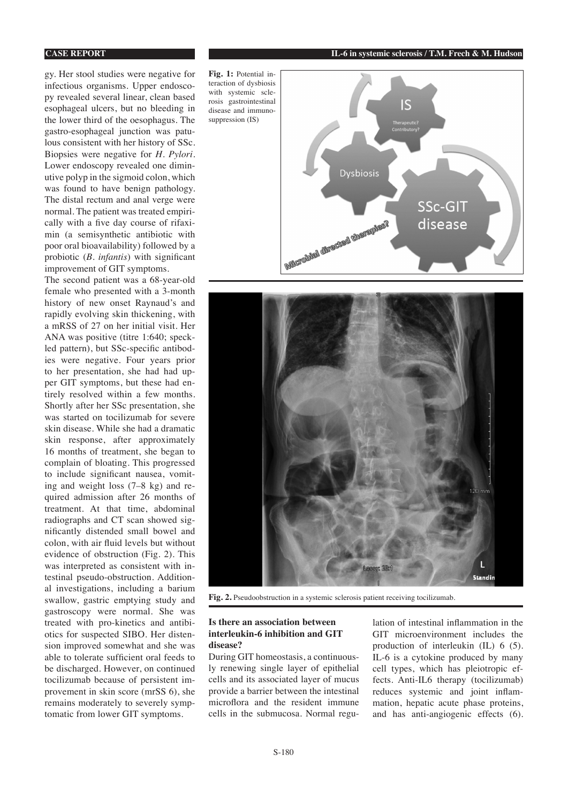#### **CASE REPORT IL-6 in systemic sclerosis / T.M. Frech & M. Hudson**

gy. Her stool studies were negative for infectious organisms. Upper endoscopy revealed several linear, clean based esophageal ulcers, but no bleeding in the lower third of the oesophagus. The gastro-esophageal junction was patulous consistent with her history of SSc. Biopsies were negative for *H. Pylori.* Lower endoscopy revealed one diminutive polyp in the sigmoid colon, which was found to have benign pathology. The distal rectum and anal verge were normal. The patient was treated empirically with a five day course of rifaximin (a semisynthetic antibiotic with poor oral bioavailability) followed by a probiotic (*B. infantis*) with significant improvement of GIT symptoms.

The second patient was a 68-year-old female who presented with a 3-month history of new onset Raynaud's and rapidly evolving skin thickening, with a mRSS of 27 on her initial visit. Her ANA was positive (titre 1:640; speckled pattern), but SSc-specific antibodies were negative. Four years prior to her presentation, she had had upper GIT symptoms, but these had entirely resolved within a few months. Shortly after her SSc presentation, she was started on tocilizumab for severe skin disease. While she had a dramatic skin response, after approximately 16 months of treatment, she began to complain of bloating. This progressed to include significant nausea, vomiting and weight loss (7–8 kg) and required admission after 26 months of treatment. At that time, abdominal radiographs and CT scan showed significantly distended small bowel and colon, with air fluid levels but without evidence of obstruction (Fig. 2). This was interpreted as consistent with intestinal pseudo-obstruction. Additional investigations, including a barium swallow, gastric emptying study and gastroscopy were normal. She was treated with pro-kinetics and antibiotics for suspected SIBO. Her distension improved somewhat and she was able to tolerate sufficient oral feeds to be discharged. However, on continued tocilizumab because of persistent improvement in skin score (mrSS 6), she remains moderately to severely symptomatic from lower GIT symptoms.

**Fig. 1:** Potential interaction of dysbiosis with systemic sclerosis gastrointestinal disease and immunosuppression (IS)





**Fig. 2.** Pseudoobstruction in a systemic sclerosis patient receiving tocilizumab.

## **Is there an association between interleukin-6 inhibition and GIT disease?**

During GIT homeostasis, a continuously renewing single layer of epithelial cells and its associated layer of mucus provide a barrier between the intestinal microflora and the resident immune cells in the submucosa. Normal regulation of intestinal inflammation in the GIT microenvironment includes the production of interleukin (IL) 6 (5). IL-6 is a cytokine produced by many cell types, which has pleiotropic effects. Anti-IL6 therapy (tocilizumab) reduces systemic and joint inflammation, hepatic acute phase proteins, and has anti-angiogenic effects (6).